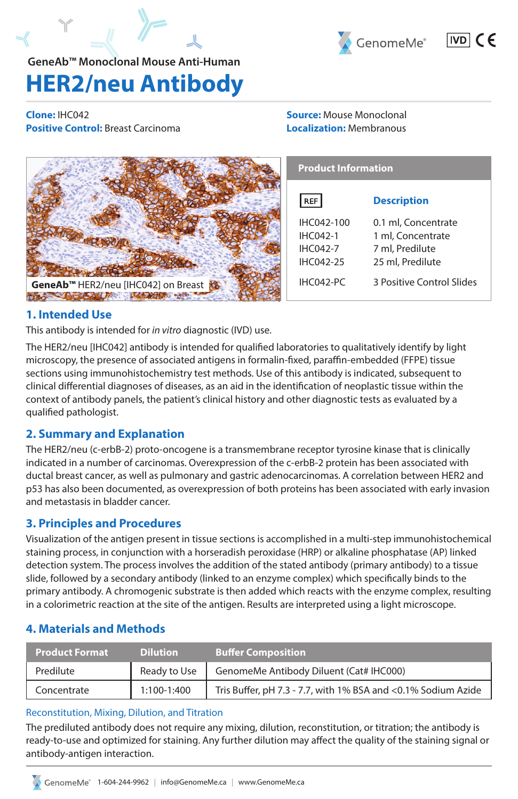



## $|ND|$   $\in$   $\in$

# **HER2/neu Antibody**

**Clone:** IHC042 **Positive Control:** Breast Carcinoma

#### **Source:** Mouse Monoclonal **Localization:** Membranous

|                                                 | <b>Product Information</b> |                           |
|-------------------------------------------------|----------------------------|---------------------------|
|                                                 | <b>REF</b>                 | <b>Description</b>        |
|                                                 | IHC042-100                 | 0.1 ml, Concentrate       |
|                                                 | <b>IHC042-1</b>            | 1 ml, Concentrate         |
|                                                 | <b>IHC042-7</b>            | 7 ml, Predilute           |
|                                                 | IHC042-25                  | 25 ml, Predilute          |
| GeneAb <sup>™</sup> HER2/neu [IHC042] on Breast | IHC042-PC                  | 3 Positive Control Slides |
|                                                 |                            |                           |

## **1. Intended Use**

This antibody is intended for *in vitro* diagnostic (IVD) use.

The HER2/neu [IHC042] antibody is intended for qualified laboratories to qualitatively identify by light microscopy, the presence of associated antigens in formalin-fixed, paraffin-embedded (FFPE) tissue sections using immunohistochemistry test methods. Use of this antibody is indicated, subsequent to clinical differential diagnoses of diseases, as an aid in the identification of neoplastic tissue within the context of antibody panels, the patient's clinical history and other diagnostic tests as evaluated by a qualified pathologist.

## **2. Summary and Explanation**

The HER2/neu (c-erbB-2) proto-oncogene is a transmembrane receptor tyrosine kinase that is clinically indicated in a number of carcinomas. Overexpression of the c-erbB-2 protein has been associated with ductal breast cancer, as well as pulmonary and gastric adenocarcinomas. A correlation between HER2 and p53 has also been documented, as overexpression of both proteins has been associated with early invasion and metastasis in bladder cancer.

## **3. Principles and Procedures**

Visualization of the antigen present in tissue sections is accomplished in a multi-step immunohistochemical staining process, in conjunction with a horseradish peroxidase (HRP) or alkaline phosphatase (AP) linked detection system. The process involves the addition of the stated antibody (primary antibody) to a tissue slide, followed by a secondary antibody (linked to an enzyme complex) which specifically binds to the primary antibody. A chromogenic substrate is then added which reacts with the enzyme complex, resulting in a colorimetric reaction at the site of the antigen. Results are interpreted using a light microscope.

## **4. Materials and Methods**

| <b>Product Format</b> | <b>Dilution</b> | <b>Buffer Composition</b>                                     |
|-----------------------|-----------------|---------------------------------------------------------------|
| Predilute             | Ready to Use    | GenomeMe Antibody Diluent (Cat# IHC000)                       |
| Concentrate           | 1:100-1:400     | Tris Buffer, pH 7.3 - 7.7, with 1% BSA and <0.1% Sodium Azide |

## Reconstitution, Mixing, Dilution, and Titration

The prediluted antibody does not require any mixing, dilution, reconstitution, or titration; the antibody is ready-to-use and optimized for staining. Any further dilution may affect the quality of the staining signal or antibody-antigen interaction.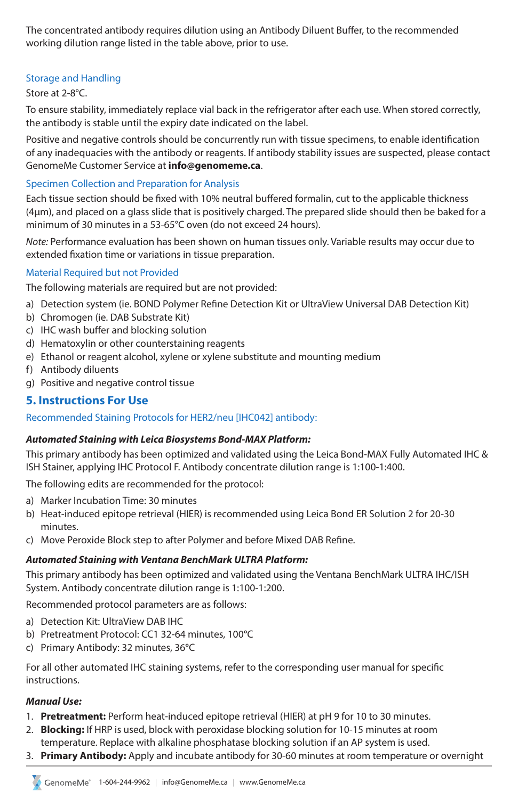The concentrated antibody requires dilution using an Antibody Diluent Buffer, to the recommended working dilution range listed in the table above, prior to use.

#### Storage and Handling

#### Store at 2-8°C.

To ensure stability, immediately replace vial back in the refrigerator after each use. When stored correctly, the antibody is stable until the expiry date indicated on the label.

Positive and negative controls should be concurrently run with tissue specimens, to enable identification of any inadequacies with the antibody or reagents. If antibody stability issues are suspected, please contact GenomeMe Customer Service at **info@genomeme.ca**.

#### Specimen Collection and Preparation for Analysis

Each tissue section should be fixed with 10% neutral buffered formalin, cut to the applicable thickness (4µm), and placed on a glass slide that is positively charged. The prepared slide should then be baked for a minimum of 30 minutes in a 53-65°C oven (do not exceed 24 hours).

*Note:* Performance evaluation has been shown on human tissues only. Variable results may occur due to extended fixation time or variations in tissue preparation.

#### Material Required but not Provided

The following materials are required but are not provided:

- a) Detection system (ie. BOND Polymer Refine Detection Kit or UltraView Universal DAB Detection Kit)
- b) Chromogen (ie. DAB Substrate Kit)
- c) IHC wash buffer and blocking solution
- d) Hematoxylin or other counterstaining reagents
- e) Ethanol or reagent alcohol, xylene or xylene substitute and mounting medium
- f) Antibody diluents
- g) Positive and negative control tissue

## **5. Instructions For Use**

#### Recommended Staining Protocols for HER2/neu [IHC042] antibody:

#### *Automated Staining with Leica Biosystems Bond-MAX Platform:*

This primary antibody has been optimized and validated using the Leica Bond-MAX Fully Automated IHC & ISH Stainer, applying IHC Protocol F. Antibody concentrate dilution range is 1:100-1:400.

The following edits are recommended for the protocol:

- a) Marker Incubation Time: 30 minutes
- b) Heat-induced epitope retrieval (HIER) is recommended using Leica Bond ER Solution 2 for 20-30 minutes.
- c) Move Peroxide Block step to after Polymer and before Mixed DAB Refine.

#### *Automated Staining with Ventana BenchMark ULTRA Platform:*

This primary antibody has been optimized and validated using the Ventana BenchMark ULTRA IHC/ISH System. Antibody concentrate dilution range is 1:100-1:200.

Recommended protocol parameters are as follows:

- a) Detection Kit: UltraView DAB IHC
- b) Pretreatment Protocol: CC1 32-64 minutes, 100**°**C
- c) Primary Antibody: 32 minutes, 36**°**C

For all other automated IHC staining systems, refer to the corresponding user manual for specific instructions.

#### *Manual Use:*

- 1. **Pretreatment:** Perform heat-induced epitope retrieval (HIER) at pH 9 for 10 to 30 minutes.
- 2. **Blocking:** If HRP is used, block with peroxidase blocking solution for 10-15 minutes at room
- temperature. Replace with alkaline phosphatase blocking solution if an AP system is used.
- 3. **Primary Antibody:** Apply and incubate antibody for 30-60 minutes at room temperature or overnight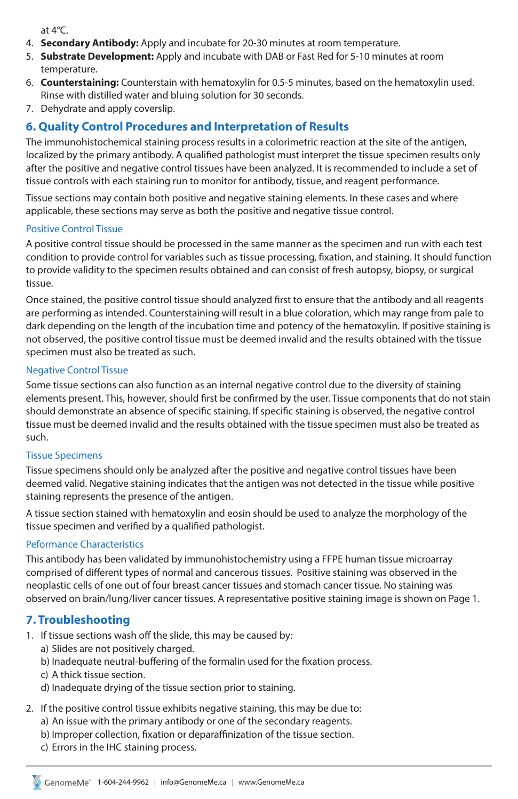at 4°C.

- 4. **Secondary Antibody:** Apply and incubate for 20-30 minutes at room temperature.
- 5. **Substrate Development:** Apply and incubate with DAB or Fast Red for 5-10 minutes at room temperature.
- 6. **Counterstaining:** Counterstain with hematoxylin for 0.5-5 minutes, based on the hematoxylin used. Rinse with distilled water and bluing solution for 30 seconds.
- 7. Dehydrate and apply coverslip.

## **6. Quality Control Procedures and Interpretation of Results**

The immunohistochemical staining process results in a colorimetric reaction at the site of the antigen, localized by the primary antibody. A qualified pathologist must interpret the tissue specimen results only after the positive and negative control tissues have been analyzed. It is recommended to include a set of tissue controls with each staining run to monitor for antibody, tissue, and reagent performance.

Tissue sections may contain both positive and negative staining elements. In these cases and where applicable, these sections may serve as both the positive and negative tissue control.

#### Positive Control Tissue

A positive control tissue should be processed in the same manner as the specimen and run with each test condition to provide control for variables such as tissue processing, fixation, and staining. It should function to provide validity to the specimen results obtained and can consist of fresh autopsy, biopsy, or surgical tissue.

Once stained, the positive control tissue should analyzed first to ensure that the antibody and all reagents are performing as intended. Counterstaining will result in a blue coloration, which may range from pale to dark depending on the length of the incubation time and potency of the hematoxylin. If positive staining is not observed, the positive control tissue must be deemed invalid and the results obtained with the tissue specimen must also be treated as such.

#### Negative Control Tissue

Some tissue sections can also function as an internal negative control due to the diversity of staining elements present. This, however, should first be confirmed by the user. Tissue components that do not stain should demonstrate an absence of specific staining. If specific staining is observed, the negative control tissue must be deemed invalid and the results obtained with the tissue specimen must also be treated as such.

#### Tissue Specimens

Tissue specimens should only be analyzed after the positive and negative control tissues have been deemed valid. Negative staining indicates that the antigen was not detected in the tissue while positive staining represents the presence of the antigen.

A tissue section stained with hematoxylin and eosin should be used to analyze the morphology of the tissue specimen and verified by a qualified pathologist.

#### Peformance Characteristics

This antibody has been validated by immunohistochemistry using a FFPE human tissue microarray comprised of different types of normal and cancerous tissues. Positive staining was observed in the neoplastic cells of one out of four breast cancer tissues and stomach cancer tissue. No staining was observed on brain/lung/liver cancer tissues. A representative positive staining image is shown on Page 1.

## **7. Troubleshooting**

- 1. If tissue sections wash off the slide, this may be caused by:
	- a) Slides are not positively charged.
	- b) Inadequate neutral-buffering of the formalin used for the fixation process.
	- c) A thick tissue section.
	- d) Inadequate drying of the tissue section prior to staining.
- 2. If the positive control tissue exhibits negative staining, this may be due to:
	- a) An issue with the primary antibody or one of the secondary reagents.
	- b) Improper collection, fixation or deparaffinization of the tissue section.
	- c) Errors in the IHC staining process.